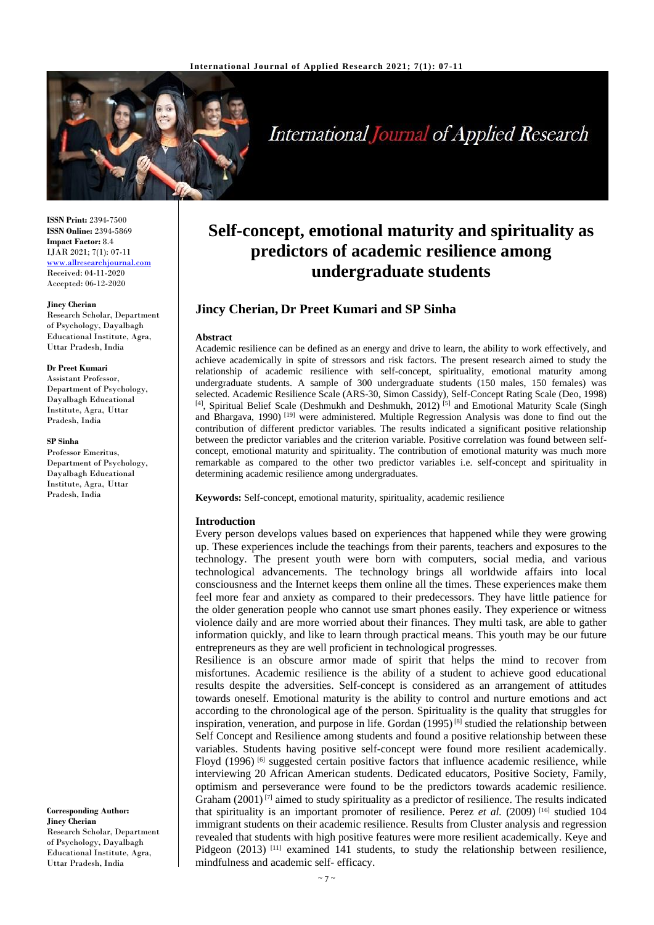

# **International Journal of Applied Research**

**ISSN Print:** 2394-7500 **ISSN Online:** 2394-5869 **Impact Factor:** 8.4 IJAR 2021; 7(1): 07-11 <www.allresearchjournal.com> Received: 04-11-2020 Accepted: 06-12-2020

#### **Jincy Cherian**

Research Scholar, Department of Psychology, Dayalbagh Educational Institute, Agra, Uttar Pradesh, India

#### **Dr Preet Kumari**

Assistant Professor, Department of Psychology, Dayalbagh Educational Institute, Agra, Uttar Pradesh, India

#### **SP Sinha**

Professor Emeritus, Department of Psychology, Dayalbagh Educational Institute, Agra, Uttar Pradesh, India

**Corresponding Author: Jincy Cherian** Research Scholar, Department of Psychology, Dayalbagh Educational Institute, Agra, Uttar Pradesh, India

## **Self-concept, emotional maturity and spirituality as predictors of academic resilience among undergraduate students**

## **Jincy Cherian, Dr Preet Kumari and SP Sinha**

#### **Abstract**

Academic resilience can be defined as an energy and drive to learn, the ability to work effectively, and achieve academically in spite of stressors and risk factors. The present research aimed to study the relationship of academic resilience with self-concept, spirituality, emotional maturity among undergraduate students. A sample of 300 undergraduate students (150 males, 150 females) was selected. Academic Resilience Scale (ARS-30, Simon Cassidy), Self-Concept Rating Scale (Deo, 1998) <sup>[4]</sup>, Spiritual Belief Scale (Deshmukh and Deshmukh, 2012)<sup>[5]</sup> and Emotional Maturity Scale (Singh and Bhargava, 1990) [19] were administered. Multiple Regression Analysis was done to find out the contribution of different predictor variables. The results indicated a significant positive relationship between the predictor variables and the criterion variable. Positive correlation was found between selfconcept, emotional maturity and spirituality. The contribution of emotional maturity was much more remarkable as compared to the other two predictor variables i.e. self-concept and spirituality in determining academic resilience among undergraduates.

**Keywords:** Self-concept, emotional maturity, spirituality, academic resilience

#### **Introduction**

Every person develops values based on experiences that happened while they were growing up. These experiences include the teachings from their parents, teachers and exposures to the technology. The present youth were born with computers, social media, and various technological advancements. The technology brings all worldwide affairs into local consciousness and the Internet keeps them online all the times. These experiences make them feel more fear and anxiety as compared to their predecessors. They have little patience for the older generation people who cannot use smart phones easily. They experience or witness violence daily and are more worried about their finances. They multi task, are able to gather information quickly, and like to learn through practical means. This youth may be our future entrepreneurs as they are well proficient in technological progresses.

Resilience is an obscure armor made of spirit that helps the mind to recover from misfortunes. Academic resilience is the ability of a student to achieve good educational results despite the adversities. Self-concept is considered as an arrangement of attitudes towards oneself. Emotional maturity is the ability to control and nurture emotions and act according to the chronological age of the person. Spirituality is the quality that struggles for inspiration, veneration, and purpose in life. Gordan  $(1995)^{[8]}$  studied the relationship between Self Concept and Resilience among **s**tudents and found a positive relationship between these variables. Students having positive self-concept were found more resilient academically. Floyd  $(1996)$  <sup>[6]</sup> suggested certain positive factors that influence academic resilience, while interviewing 20 African American students. Dedicated educators, Positive Society, Family, optimism and perseverance were found to be the predictors towards academic resilience. Graham  $(2001)^{[7]}$  aimed to study spirituality as a predictor of resilience. The results indicated that spirituality is an important promoter of resilience. Perez *et al.* (2009)<sup>[16]</sup> studied 104 immigrant students on their academic resilience. Results from Cluster analysis and regression revealed that students with high positive features were more resilient academically. Keye and Pidgeon (2013)<sup>[11]</sup> examined 141 students, to study the relationship between resilience, mindfulness and academic self- efficacy.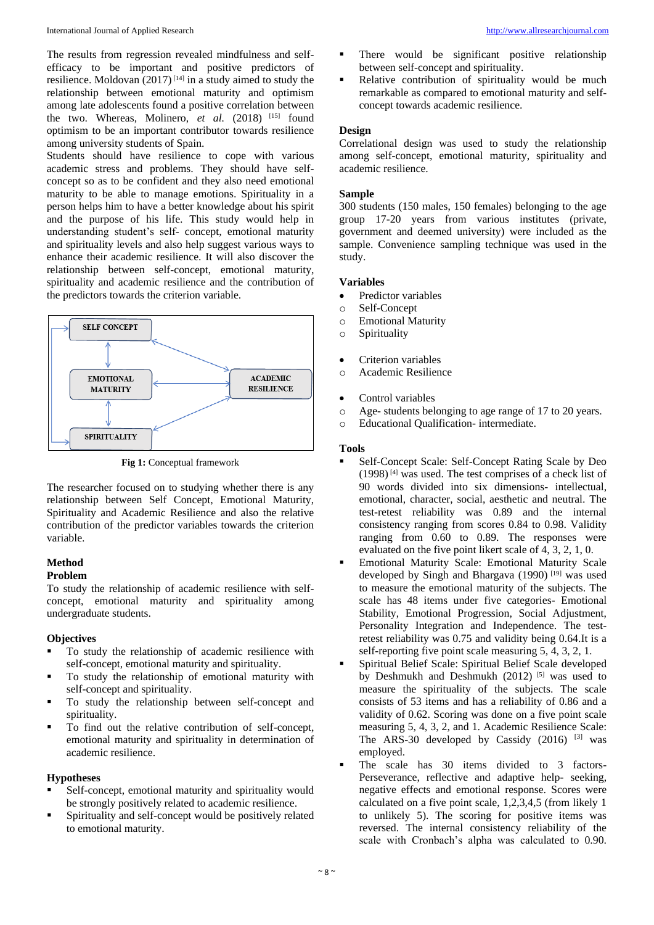The results from regression revealed mindfulness and selfefficacy to be important and positive predictors of resilience. Moldovan  $(2017)^{[14]}$  in a study aimed to study the relationship between emotional maturity and optimism among late adolescents found a positive correlation between the two. Whereas, Molinero, et al. (2018) <sup>[15]</sup> found optimism to be an important contributor towards resilience among university students of Spain.

Students should have resilience to cope with various academic stress and problems. They should have selfconcept so as to be confident and they also need emotional maturity to be able to manage emotions. Spirituality in a person helps him to have a better knowledge about his spirit and the purpose of his life. This study would help in understanding student's self- concept, emotional maturity and spirituality levels and also help suggest various ways to enhance their academic resilience. It will also discover the relationship between self-concept, emotional maturity, spirituality and academic resilience and the contribution of the predictors towards the criterion variable.



**Fig 1:** Conceptual framework

The researcher focused on to studying whether there is any relationship between Self Concept, Emotional Maturity, Spirituality and Academic Resilience and also the relative contribution of the predictor variables towards the criterion variable.

## **Method**

## **Problem**

To study the relationship of academic resilience with selfconcept, emotional maturity and spirituality among undergraduate students.

## **Objectives**

- To study the relationship of academic resilience with self-concept, emotional maturity and spirituality.
- To study the relationship of emotional maturity with self-concept and spirituality.
- To study the relationship between self-concept and spirituality.
- To find out the relative contribution of self-concept, emotional maturity and spirituality in determination of academic resilience.

## **Hypotheses**

- Self-concept, emotional maturity and spirituality would be strongly positively related to academic resilience.
- Spirituality and self-concept would be positively related to emotional maturity.
- There would be significant positive relationship between self-concept and spirituality.
- Relative contribution of spirituality would be much remarkable as compared to emotional maturity and selfconcept towards academic resilience.

## **Design**

Correlational design was used to study the relationship among self-concept, emotional maturity, spirituality and academic resilience.

## **Sample**

300 students (150 males, 150 females) belonging to the age group 17-20 years from various institutes (private, government and deemed university) were included as the sample. Convenience sampling technique was used in the study.

## **Variables**

- Predictor variables
- o Self-Concept
- o Emotional Maturity
- o Spirituality
- Criterion variables
- o Academic Resilience
- Control variables
- o Age- students belonging to age range of 17 to 20 years.
- o Educational Qualification- intermediate.

## **Tools**

- Self-Concept Scale: Self-Concept Rating Scale by Deo (1998) [4] was used. The test comprises of a check list of 90 words divided into six dimensions- intellectual, emotional, character, social, aesthetic and neutral. The test-retest reliability was 0.89 and the internal consistency ranging from scores 0.84 to 0.98. Validity ranging from 0.60 to 0.89. The responses were evaluated on the five point likert scale of 4, 3, 2, 1, 0.
- Emotional Maturity Scale: Emotional Maturity Scale developed by Singh and Bhargava (1990) [19] was used to measure the emotional maturity of the subjects. The scale has 48 items under five categories- Emotional Stability, Emotional Progression, Social Adjustment, Personality Integration and Independence. The testretest reliability was 0.75 and validity being 0.64.It is a self-reporting five point scale measuring 5, 4, 3, 2, 1.
- Spiritual Belief Scale: Spiritual Belief Scale developed by Deshmukh and Deshmukh (2012) [5] was used to measure the spirituality of the subjects. The scale consists of 53 items and has a reliability of 0.86 and a validity of 0.62. Scoring was done on a five point scale measuring 5, 4, 3, 2, and 1. Academic Resilience Scale: The ARS-30 developed by Cassidy  $(2016)$  <sup>[3]</sup> was employed.
- The scale has 30 items divided to 3 factors-Perseverance, reflective and adaptive help- seeking, negative effects and emotional response. Scores were calculated on a five point scale, 1,2,3,4,5 (from likely 1 to unlikely 5). The scoring for positive items was reversed. The internal consistency reliability of the scale with Cronbach's alpha was calculated to 0.90.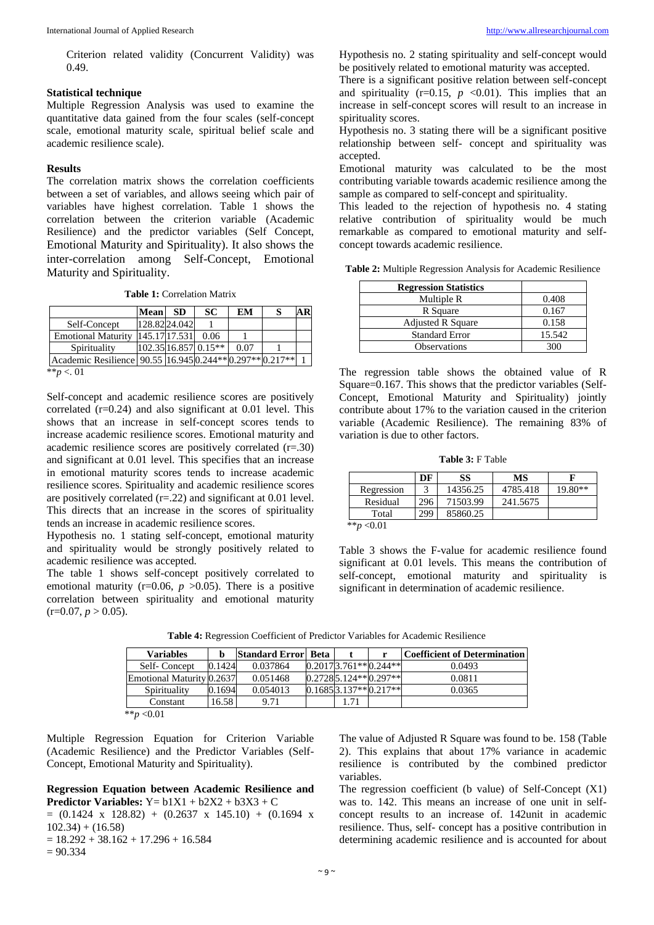## **Statistical technique**

Multiple Regression Analysis was used to examine the quantitative data gained from the four scales (self-concept scale, emotional maturity scale, spiritual belief scale and academic resilience scale).

#### **Results**

The correlation matrix shows the correlation coefficients between a set of variables, and allows seeing which pair of variables have highest correlation. Table 1 shows the correlation between the criterion variable (Academic Resilience) and the predictor variables (Self Concept, Emotional Maturity and Spirituality). It also shows the inter-correlation among Self-Concept, Emotional Maturity and Spirituality.

**Table 1:** Correlation Matrix

|                                                          | <b>Mean</b>   | <b>SD</b> | SC                   | EM   |  |
|----------------------------------------------------------|---------------|-----------|----------------------|------|--|
| Self-Concept                                             | 128.8224.042  |           |                      |      |  |
| <b>Emotional Maturity</b>                                | 145.17.17.531 |           | 0.06                 |      |  |
| Spirituality                                             |               |           | 102.35 16.857 0.15** | 0.07 |  |
| Academic Resilience 90.55 16.945 0.244** 0.297** 0.217** |               |           |                      |      |  |
| ** $p < 01$                                              |               |           |                      |      |  |

\*\**p* <. 01

Self-concept and academic resilience scores are positively correlated (r=0.24) and also significant at 0.01 level. This shows that an increase in self-concept scores tends to increase academic resilience scores. Emotional maturity and academic resilience scores are positively correlated (r=.30) and significant at 0.01 level. This specifies that an increase in emotional maturity scores tends to increase academic resilience scores. Spirituality and academic resilience scores are positively correlated (r=.22) and significant at 0.01 level. This directs that an increase in the scores of spirituality tends an increase in academic resilience scores.

Hypothesis no. 1 stating self-concept, emotional maturity and spirituality would be strongly positively related to academic resilience was accepted.

The table 1 shows self-concept positively correlated to emotional maturity ( $r=0.06$ ,  $p > 0.05$ ). There is a positive correlation between spirituality and emotional maturity  $(r=0.07, p>0.05)$ .

Hypothesis no. 2 stating spirituality and self-concept would be positively related to emotional maturity was accepted.

There is a significant positive relation between self-concept and spirituality  $(r=0.15, p \le 0.01)$ . This implies that an increase in self-concept scores will result to an increase in spirituality scores.

Hypothesis no. 3 stating there will be a significant positive relationship between self- concept and spirituality was accepted.

Emotional maturity was calculated to be the most contributing variable towards academic resilience among the sample as compared to self-concept and spirituality.

This leaded to the rejection of hypothesis no. 4 stating relative contribution of spirituality would be much remarkable as compared to emotional maturity and selfconcept towards academic resilience.

**Table 2:** Multiple Regression Analysis for Academic Resilience

| <b>Regression Statistics</b> |        |
|------------------------------|--------|
| Multiple R                   | 0.408  |
| R Square                     | 0.167  |
| <b>Adjusted R Square</b>     | 0.158  |
| <b>Standard Error</b>        | 15.542 |
| <b>Observations</b>          | 300    |

The regression table shows the obtained value of R Square=0.167. This shows that the predictor variables (Self-Concept, Emotional Maturity and Spirituality) jointly contribute about 17% to the variation caused in the criterion variable (Academic Resilience). The remaining 83% of variation is due to other factors.

**Table 3:** F Table

|                  | DF  | SS       | MS       |           |
|------------------|-----|----------|----------|-----------|
| Regression       |     | 14356.25 | 4785.418 | $19.80**$ |
| Residual         | 296 | 71503.99 | 241.5675 |           |
| Total            | 299 | 85860.25 |          |           |
| $***n$<br>< 0.01 |     |          |          |           |

Table 3 shows the F-value for academic resilience found significant at 0.01 levels. This means the contribution of self-concept, emotional maturity and spirituality is significant in determination of academic resilience.

| <b>Variables</b>          |        | <b>Standard Error Beta</b> |                           | <b>Coefficient of Determination</b> |
|---------------------------|--------|----------------------------|---------------------------|-------------------------------------|
| Self-Concept              | 0.1424 | 0.037864                   | $0.201713.761**0.244**$   | 0.0493                              |
| Emotional Maturity 0.2637 |        | 0.051468                   | $0.27285.124**0.297**$    | 0.0811                              |
| Spirituality              | 0.1694 | 0.054013                   | $0.1685 3.137** 0.217** $ | 0.0365                              |
| Constant                  | 16.58  | 9.71                       | 1.71                      |                                     |
| **p < 0.01                |        |                            |                           |                                     |

**Table 4:** Regression Coefficient of Predictor Variables for Academic Resilience

Multiple Regression Equation for Criterion Variable (Academic Resilience) and the Predictor Variables (Self-Concept, Emotional Maturity and Spirituality).

#### **Regression Equation between Academic Resilience and Predictor Variables:**  $Y = b1X1 + b2X2 + b3X3 + C$

 $=(0.1424 \times 128.82) + (0.2637 \times 145.10) + (0.1694 \times 145.10)$  $102.34 + (16.58)$  $= 18.292 + 38.162 + 17.296 + 16.584$  $= 90.334$ 

The value of Adjusted R Square was found to be. 158 (Table 2). This explains that about 17% variance in academic resilience is contributed by the combined predictor variables.

The regression coefficient (b value) of Self-Concept (X1) was to. 142. This means an increase of one unit in selfconcept results to an increase of. 142unit in academic resilience. Thus, self- concept has a positive contribution in determining academic resilience and is accounted for about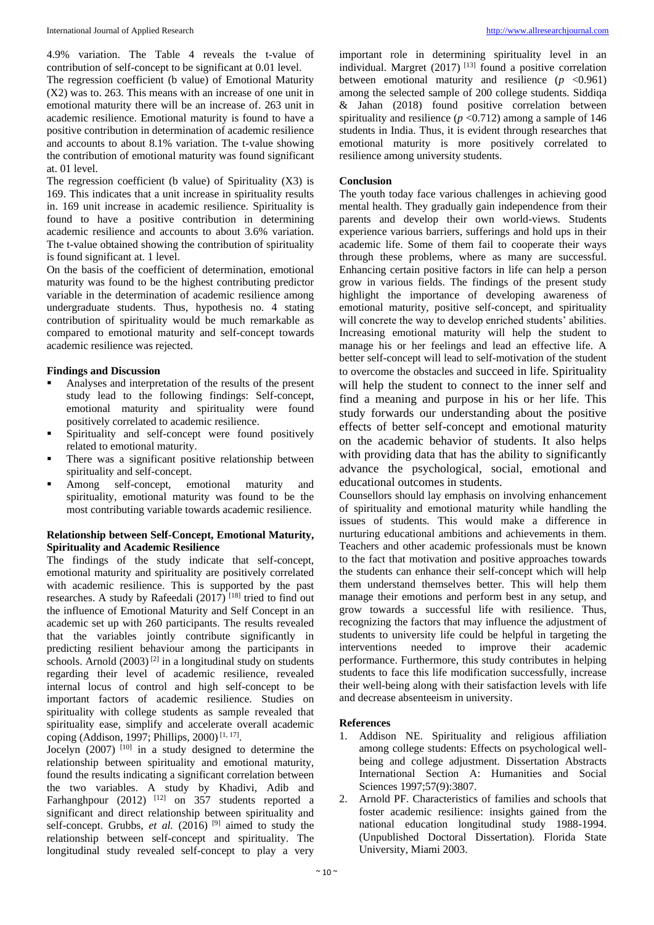4.9% variation. The Table 4 reveals the t-value of contribution of self-concept to be significant at 0.01 level.

The regression coefficient (b value) of Emotional Maturity (X2) was to. 263. This means with an increase of one unit in emotional maturity there will be an increase of. 263 unit in academic resilience. Emotional maturity is found to have a positive contribution in determination of academic resilience and accounts to about 8.1% variation. The t-value showing the contribution of emotional maturity was found significant at. 01 level.

The regression coefficient (b value) of Spirituality  $(X3)$  is 169. This indicates that a unit increase in spirituality results in. 169 unit increase in academic resilience. Spirituality is found to have a positive contribution in determining academic resilience and accounts to about 3.6% variation. The t-value obtained showing the contribution of spirituality is found significant at. 1 level.

On the basis of the coefficient of determination, emotional maturity was found to be the highest contributing predictor variable in the determination of academic resilience among undergraduate students. Thus, hypothesis no. 4 stating contribution of spirituality would be much remarkable as compared to emotional maturity and self-concept towards academic resilience was rejected.

#### **Findings and Discussion**

- Analyses and interpretation of the results of the present study lead to the following findings: Self-concept, emotional maturity and spirituality were found positively correlated to academic resilience.
- **•** Spirituality and self-concept were found positively related to emotional maturity.
- **•** There was a significant positive relationship between spirituality and self-concept.
- Among self-concept, emotional maturity and spirituality, emotional maturity was found to be the most contributing variable towards academic resilience.

#### **Relationship between Self-Concept, Emotional Maturity, Spirituality and Academic Resilience**

The findings of the study indicate that self-concept, emotional maturity and spirituality are positively correlated with academic resilience. This is supported by the past researches. A study by Rafeedali  $(2017)$ <sup>[18]</sup> tried to find out the influence of Emotional Maturity and Self Concept in an academic set up with 260 participants. The results revealed that the variables jointly contribute significantly in predicting resilient behaviour among the participants in schools. Arnold  $(2003)^{[2]}$  in a longitudinal study on students regarding their level of academic resilience, revealed internal locus of control and high self-concept to be important factors of academic resilience. Studies on spirituality with college students as sample revealed that spirituality ease, simplify and accelerate overall academic coping (Addison, 1997; Phillips, 2000)<sup>[1, 17]</sup>.

Jocelyn  $(2007)$ <sup>[10]</sup> in a study designed to determine the relationship between spirituality and emotional maturity, found the results indicating a significant correlation between the two variables. A study by Khadivi, Adib and Farhanghpour (2012)  $^{[12]}$  on 357 students reported a significant and direct relationship between spirituality and self-concept. Grubbs, *et al.*  $(2016)$ <sup>[9]</sup> aimed to study the relationship between self-concept and spirituality. The longitudinal study revealed self-concept to play a very

important role in determining spirituality level in an individual. Margret  $(2017)$ <sup>[13]</sup> found a positive correlation between emotional maturity and resilience  $(p \lt 0.961)$ among the selected sample of 200 college students. Siddiqa & Jahan (2018) found positive correlation between spirituality and resilience  $(p \le 0.712)$  among a sample of 146 students in India. Thus, it is evident through researches that emotional maturity is more positively correlated to resilience among university students.

#### **Conclusion**

The youth today face various challenges in achieving good mental health. They gradually gain independence from their parents and develop their own world-views. Students experience various barriers, sufferings and hold ups in their academic life. Some of them fail to cooperate their ways through these problems, where as many are successful. Enhancing certain positive factors in life can help a person grow in various fields. The findings of the present study highlight the importance of developing awareness of emotional maturity, positive self-concept, and spirituality will concrete the way to develop enriched students' abilities. Increasing emotional maturity will help the student to manage his or her feelings and lead an effective life. A better self-concept will lead to self-motivation of the student to overcome the obstacles and succeed in life. Spirituality will help the student to connect to the inner self and find a meaning and purpose in his or her life. This study forwards our understanding about the positive effects of better self-concept and emotional maturity on the academic behavior of students. It also helps with providing data that has the ability to significantly advance the psychological, social, emotional and educational outcomes in students.

Counsellors should lay emphasis on involving enhancement of spirituality and emotional maturity while handling the issues of students. This would make a difference in nurturing educational ambitions and achievements in them. Teachers and other academic professionals must be known to the fact that motivation and positive approaches towards the students can enhance their self-concept which will help them understand themselves better. This will help them manage their emotions and perform best in any setup, and grow towards a successful life with resilience. Thus, recognizing the factors that may influence the adjustment of students to university life could be helpful in targeting the interventions needed to improve their academic performance. Furthermore, this study contributes in helping students to face this life modification successfully, increase their well-being along with their satisfaction levels with life and decrease absenteeism in university.

#### **References**

- 1. Addison NE. Spirituality and religious affiliation among college students: Effects on psychological wellbeing and college adjustment. Dissertation Abstracts International Section A: Humanities and Social Sciences 1997;57(9):3807.
- 2. Arnold PF. Characteristics of families and schools that foster academic resilience: insights gained from the national education longitudinal study 1988-1994. (Unpublished Doctoral Dissertation). Florida State University, Miami 2003.